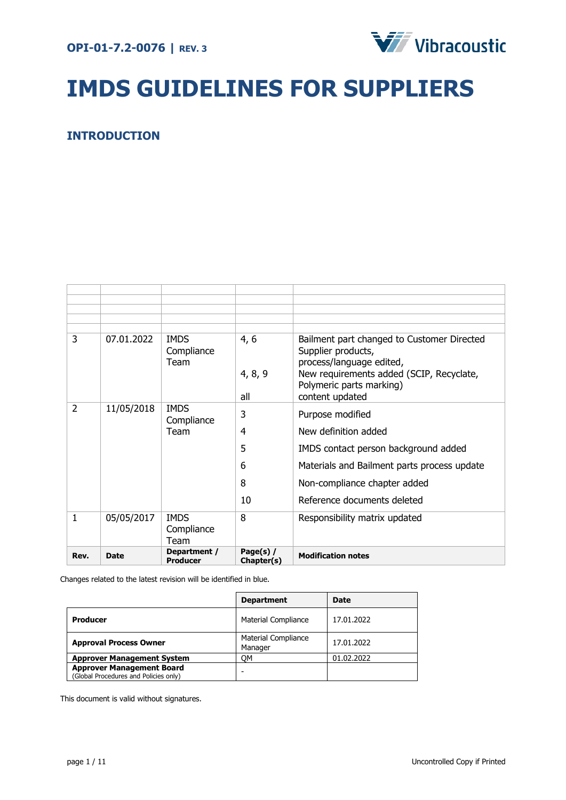

# **IMDS GUIDELINES FOR SUPPLIERS**

# <span id="page-0-0"></span>**INTRODUCTION**

| 3              | 07.01.2022  | <b>IMDS</b><br>Compliance<br>Team | 4, 6<br>4, 8, 9<br>all      | Bailment part changed to Customer Directed<br>Supplier products,<br>process/language edited,<br>New requirements added (SCIP, Recyclate,<br>Polymeric parts marking)<br>content updated        |
|----------------|-------------|-----------------------------------|-----------------------------|------------------------------------------------------------------------------------------------------------------------------------------------------------------------------------------------|
| $\overline{2}$ | 11/05/2018  | <b>IMDS</b><br>Compliance<br>Team | 3<br>4<br>5<br>6<br>8<br>10 | Purpose modified<br>New definition added<br>IMDS contact person background added<br>Materials and Bailment parts process update<br>Non-compliance chapter added<br>Reference documents deleted |
| 1              | 05/05/2017  | <b>IMDS</b><br>Compliance<br>Team | 8                           | Responsibility matrix updated                                                                                                                                                                  |
| Rev.           | <b>Date</b> | Department /<br><b>Producer</b>   | Page(s) /<br>Chapter(s)     | <b>Modification notes</b>                                                                                                                                                                      |

Changes related to the latest revision will be identified in blue.

|                                                                           | <b>Department</b>                     | Date       |
|---------------------------------------------------------------------------|---------------------------------------|------------|
| <b>Producer</b>                                                           | <b>Material Compliance</b>            | 17.01.2022 |
| <b>Approval Process Owner</b>                                             | <b>Material Compliance</b><br>Manager | 17.01.2022 |
| <b>Approver Management System</b>                                         | OМ                                    | 01.02.2022 |
| <b>Approver Management Board</b><br>(Global Procedures and Policies only) |                                       |            |

This document is valid without signatures.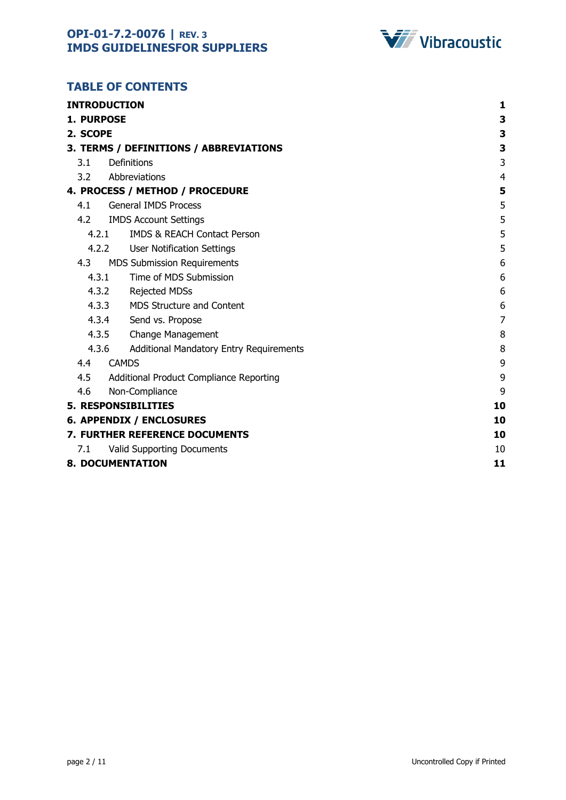

# **TABLE OF CONTENTS**

| <b>INTRODUCTION</b>                                     | 1              |
|---------------------------------------------------------|----------------|
| <b>1. PURPOSE</b>                                       | 3              |
| 2. SCOPE                                                | 3              |
| 3. TERMS / DEFINITIONS / ABBREVIATIONS                  | 3              |
| Definitions<br>3.1                                      | 3              |
| 3.2<br>Abbreviations                                    | $\overline{4}$ |
| 4. PROCESS / METHOD / PROCEDURE                         | 5              |
| <b>General IMDS Process</b><br>4.1                      | 5              |
| 4.2<br><b>IMDS Account Settings</b>                     | 5              |
| 4.2.1<br><b>IMDS &amp; REACH Contact Person</b>         | 5              |
| 4.2.2 User Notification Settings                        | 5              |
| <b>MDS Submission Requirements</b><br>4.3               | 6              |
| Time of MDS Submission<br>4.3.1                         | 6              |
| 4.3.2 Rejected MDSs                                     | 6              |
| 4.3.3 MDS Structure and Content                         | 6              |
| 4.3.4 Send vs. Propose                                  | $\overline{7}$ |
| 4.3.5 Change Management                                 | 8              |
| 4.3.6<br><b>Additional Mandatory Entry Requirements</b> | 8              |
| 4.4<br><b>CAMDS</b>                                     | 9              |
| 4.5<br><b>Additional Product Compliance Reporting</b>   | 9              |
| Non-Compliance<br>4.6                                   | 9              |
| <b>5. RESPONSIBILITIES</b>                              | 10             |
| <b>6. APPENDIX / ENCLOSURES</b>                         | 10             |
| <b>7. FURTHER REFERENCE DOCUMENTS</b>                   | 10             |
| <b>Valid Supporting Documents</b><br>7.1                | 10             |
| <b>8. DOCUMENTATION</b>                                 | 11             |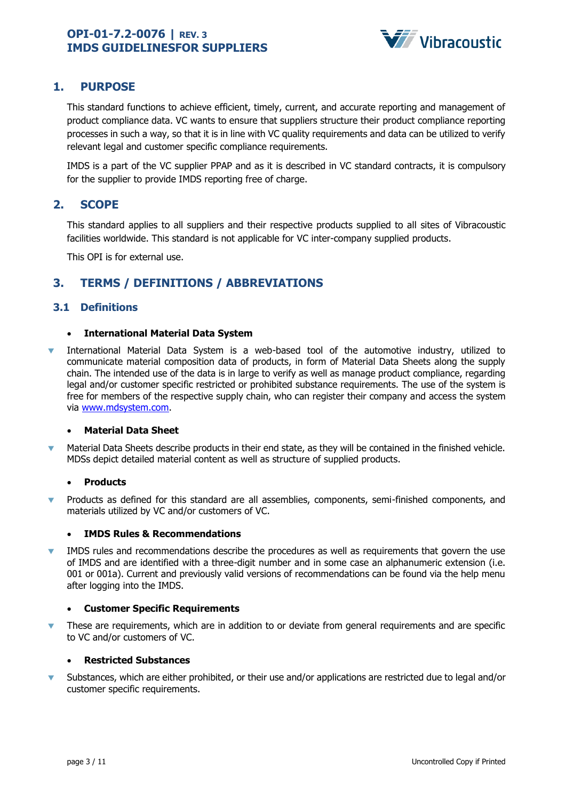

# <span id="page-2-0"></span>**1. PURPOSE**

This standard functions to achieve efficient, timely, current, and accurate reporting and management of product compliance data. VC wants to ensure that suppliers structure their product compliance reporting processes in such a way, so that it is in line with VC quality requirements and data can be utilized to verify relevant legal and customer specific compliance requirements.

IMDS is a part of the VC supplier PPAP and as it is described in VC standard contracts, it is compulsory for the supplier to provide IMDS reporting free of charge.

# <span id="page-2-1"></span>**2. SCOPE**

This standard applies to all suppliers and their respective products supplied to all sites of Vibracoustic facilities worldwide. This standard is not applicable for VC inter-company supplied products.

This OPI is for external use.

# <span id="page-2-2"></span>**3. TERMS / DEFINITIONS / ABBREVIATIONS**

## <span id="page-2-3"></span>**3.1 Definitions**

## • **International Material Data System**

 International Material Data System is a web-based tool of the automotive industry, utilized to communicate material composition data of products, in form of Material Data Sheets along the supply chain. The intended use of the data is in large to verify as well as manage product compliance, regarding legal and/or customer specific restricted or prohibited substance requirements. The use of the system is free for members of the respective supply chain, who can register their company and access the system via [www.mdsystem.com.](http://www.mdsystem.com/)

#### • **Material Data Sheet**

 Material Data Sheets describe products in their end state, as they will be contained in the finished vehicle. MDSs depict detailed material content as well as structure of supplied products.

## • **Products**

 Products as defined for this standard are all assemblies, components, semi-finished components, and materials utilized by VC and/or customers of VC.

## • **IMDS Rules & Recommendations**

 IMDS rules and recommendations describe the procedures as well as requirements that govern the use of IMDS and are identified with a three-digit number and in some case an alphanumeric extension (i.e. 001 or 001a). Current and previously valid versions of recommendations can be found via the help menu after logging into the IMDS.

## • **Customer Specific Requirements**

 These are requirements, which are in addition to or deviate from general requirements and are specific to VC and/or customers of VC.

## • **Restricted Substances**

 Substances, which are either prohibited, or their use and/or applications are restricted due to legal and/or customer specific requirements.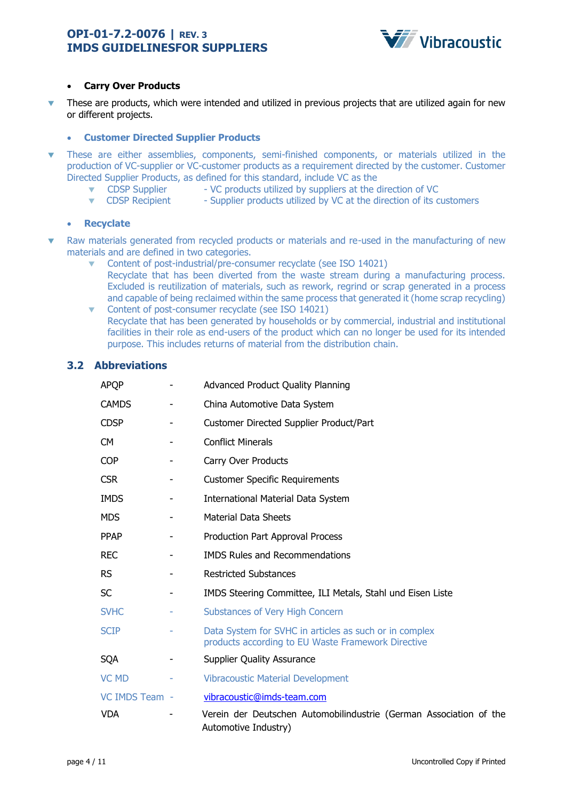

## • **Carry Over Products**

 These are products, which were intended and utilized in previous projects that are utilized again for new or different projects.

## • **Customer Directed Supplier Products**

- These are either assemblies, components, semi-finished components, or materials utilized in the production of VC-supplier or VC-customer products as a requirement directed by the customer. Customer Directed Supplier Products, as defined for this standard, include VC as the
	- **v** CDSP Supplier VC products utilized by suppliers at the direction of VC
	- $\bullet$  CDSP Recipient Supplier products utilized by VC at the direction of its customers

## • **Recyclate**

- Raw materials generated from recycled products or materials and re-used in the manufacturing of new materials and are defined in two categories.
	- Content of post-industrial/pre-consumer recyclate (see ISO 14021)
	- Recyclate that has been diverted from the waste stream during a manufacturing process. Excluded is reutilization of materials, such as rework, regrind or scrap generated in a process and capable of being reclaimed within the same process that generated it (home scrap recycling)
	- Content of post-consumer recyclate (see ISO 14021) Recyclate that has been generated by households or by commercial, industrial and institutional facilities in their role as end-users of the product which can no longer be used for its intended purpose. This includes returns of material from the distribution chain.

## <span id="page-3-0"></span>**3.2 Abbreviations**

| <b>APQP</b>    |   | <b>Advanced Product Quality Planning</b>                                                                     |
|----------------|---|--------------------------------------------------------------------------------------------------------------|
| <b>CAMDS</b>   | ٠ | China Automotive Data System                                                                                 |
| <b>CDSP</b>    | ۰ | Customer Directed Supplier Product/Part                                                                      |
| <b>CM</b>      |   | <b>Conflict Minerals</b>                                                                                     |
| <b>COP</b>     |   | Carry Over Products                                                                                          |
| <b>CSR</b>     |   | <b>Customer Specific Requirements</b>                                                                        |
| <b>IMDS</b>    | ۰ | <b>International Material Data System</b>                                                                    |
| <b>MDS</b>     |   | <b>Material Data Sheets</b>                                                                                  |
| <b>PPAP</b>    |   | Production Part Approval Process                                                                             |
| <b>REC</b>     |   | <b>IMDS Rules and Recommendations</b>                                                                        |
| <b>RS</b>      |   | <b>Restricted Substances</b>                                                                                 |
| <b>SC</b>      |   | IMDS Steering Committee, ILI Metals, Stahl und Eisen Liste                                                   |
| <b>SVHC</b>    |   | Substances of Very High Concern                                                                              |
| <b>SCIP</b>    |   | Data System for SVHC in articles as such or in complex<br>products according to EU Waste Framework Directive |
| <b>SQA</b>     |   | <b>Supplier Quality Assurance</b>                                                                            |
| <b>VC MD</b>   |   | <b>Vibracoustic Material Development</b>                                                                     |
| VC IMDS Team - |   | vibracoustic@imds-team.com                                                                                   |
| <b>VDA</b>     |   | Verein der Deutschen Automobilindustrie (German Association of the<br>Automotive Industry)                   |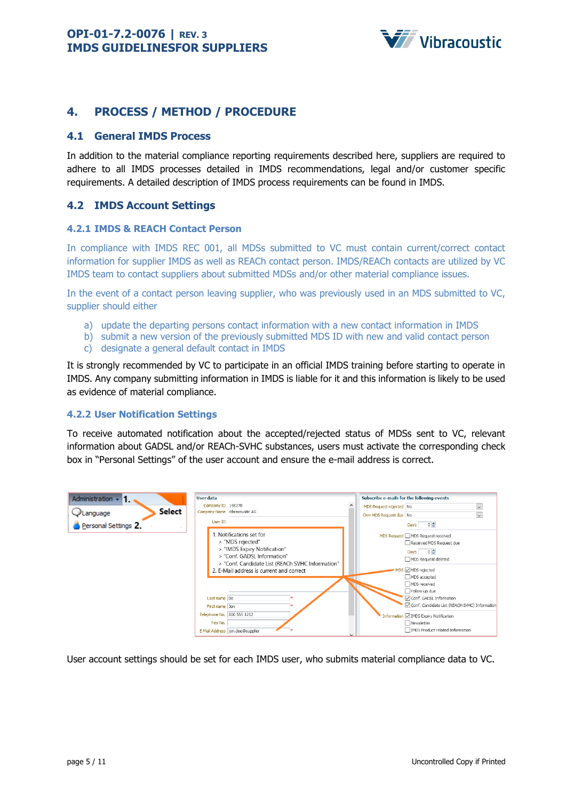

# <span id="page-4-0"></span>**4. PROCESS / METHOD / PROCEDURE**

## <span id="page-4-1"></span>**4.1 General IMDS Process**

In addition to the material compliance reporting requirements described here, suppliers are required to adhere to all IMDS processes detailed in IMDS recommendations, legal and/or customer specific requirements. A detailed description of IMDS process requirements can be found in IMDS.

## <span id="page-4-2"></span>**4.2 IMDS Account Settings**

#### <span id="page-4-3"></span>**4.2.1 IMDS & REACH Contact Person**

In compliance with IMDS REC 001, all MDSs submitted to VC must contain current/correct contact information for supplier IMDS as well as REACh contact person. IMDS/REACh contacts are utilized by VC IMDS team to contact suppliers about submitted MDSs and/or other material compliance issues.

In the event of a contact person leaving supplier, who was previously used in an MDS submitted to VC, supplier should either

- a) update the departing persons contact information with a new contact information in IMDS
- b) submit a new version of the previously submitted MDS ID with new and valid contact person
- c) designate a general default contact in IMDS

It is strongly recommended by VC to participate in an official IMDS training before starting to operate in IMDS. Any company submitting information in IMDS is liable for it and this information is likely to be used as evidence of material compliance.

## <span id="page-4-4"></span>**4.2.2 User Notification Settings**

To receive automated notification about the accepted/rejected status of MDSs sent to VC, relevant information about GADSL and/or REACh-SVHC substances, users must activate the corresponding check box in "Personal Settings" of the user account and ensure the e-mail address is correct.

| Administration $\sim$ 1.<br>Select<br>Language<br>Personal Settings 2. | <b>User data</b><br>Company ID 148270<br>$\wedge$<br>Company Name Vibracoustic AG<br>User ID                                                                                                                | Subscribe e-mails for the following events<br>MDS Request rejected No<br>$\vee$<br>Own MDS Request due No<br>$\vee$<br>$0 \frac{1}{2}$<br>Days                                               |
|------------------------------------------------------------------------|-------------------------------------------------------------------------------------------------------------------------------------------------------------------------------------------------------------|----------------------------------------------------------------------------------------------------------------------------------------------------------------------------------------------|
|                                                                        | 1. Notifications set for<br>> "MDS rejected"<br>> "IMDS Expiry Notification"<br>> "Conf. GADSL Information"<br>> "Conf. Candidate List (REACh SVHC Information"<br>2. E-Mail address is current and correct | MDS Request MDS Request received<br>Received MDS Request due<br>Days $0 \oplus$<br>MDS Request deleted<br>MDS ØMDS rejected<br>MDS accepted<br>MDS received                                  |
|                                                                        | Last name Do<br>First name Jon<br>Telephone No. 800 555 1212<br>Fax No.<br>E-Mail Address jon.doe@supplier<br>M                                                                                             | Follow-up due<br>Conf. GADSL Information<br>Conf. Candidate List (REACH SVHC) Information<br>Information √ IMDS Expiry Notification<br>Newsletter<br><b>IMDS</b> Product related Information |

User account settings should be set for each IMDS user, who submits material compliance data to VC.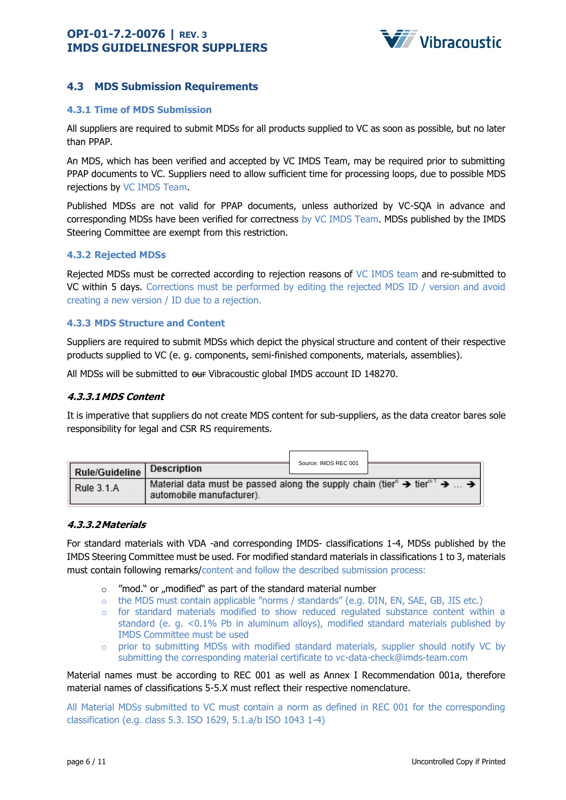

## <span id="page-5-0"></span>**4.3 MDS Submission Requirements**

## <span id="page-5-1"></span>**4.3.1 Time of MDS Submission**

All suppliers are required to submit MDSs for all products supplied to VC as soon as possible, but no later than PPAP.

An MDS, which has been verified and accepted by VC IMDS Team, may be required prior to submitting PPAP documents to VC. Suppliers need to allow sufficient time for processing loops, due to possible MDS rejections by VC IMDS Team.

Published MDSs are not valid for PPAP documents, unless authorized by VC-SQA in advance and corresponding MDSs have been verified for correctness by VC IMDS Team. MDSs published by the IMDS Steering Committee are exempt from this restriction.

## <span id="page-5-2"></span>**4.3.2 Rejected MDSs**

Rejected MDSs must be corrected according to rejection reasons of VC IMDS team and re-submitted to VC within 5 days. Corrections must be performed by editing the rejected MDS ID / version and avoid creating a new version / ID due to a rejection.

#### <span id="page-5-3"></span>**4.3.3 MDS Structure and Content**

Suppliers are required to submit MDSs which depict the physical structure and content of their respective products supplied to VC (e. g. components, semi-finished components, materials, assemblies).

All MDSs will be submitted to our Vibracoustic global IMDS account ID 148270.

## **4.3.3.1MDS Content**

It is imperative that suppliers do not create MDS content for sub-suppliers, as the data creator bares sole responsibility for legal and CSR RS requirements.

|                    |                                                                                                                                                                     | Source: IMDS REC 001 |  |
|--------------------|---------------------------------------------------------------------------------------------------------------------------------------------------------------------|----------------------|--|
| Rule/Guideline     | Description                                                                                                                                                         |                      |  |
| $\vert$ Rule 3.1.A | Material data must be passed along the supply chain (tier <sup>n</sup> $\rightarrow$ tier <sup>n-1</sup> $\rightarrow$ $\rightarrow$ 1<br>automobile manufacturer). |                      |  |

## **4.3.3.2Materials**

For standard materials with VDA -and corresponding IMDS- classifications 1-4, MDSs published by the IMDS Steering Committee must be used. For modified standard materials in classifications 1 to 3, materials must contain following remarks/content and follow the described submission process:

- $\circ$  "mod." or "modified" as part of the standard material number
- $\circ$  the MDS must contain applicable "norms / standards" (e.g. DIN, EN, SAE, GB, JIS etc.)
- o for standard materials modified to show reduced regulated substance content within a standard (e. g. <0.1% Pb in aluminum alloys), modified standard materials published by IMDS Committee must be used
- $\circ$  prior to submitting MDSs with modified standard materials, supplier should notify VC by submitting the corresponding material certificate to vc-data-check@imds-team.com

Material names must be according to REC 001 as well as Annex I Recommendation 001a, therefore material names of classifications 5-5.X must reflect their respective nomenclature.

All Material MDSs submitted to VC must contain a norm as defined in REC 001 for the corresponding classification (e.g. class 5.3. ISO 1629, 5.1.a/b ISO 1043 1-4)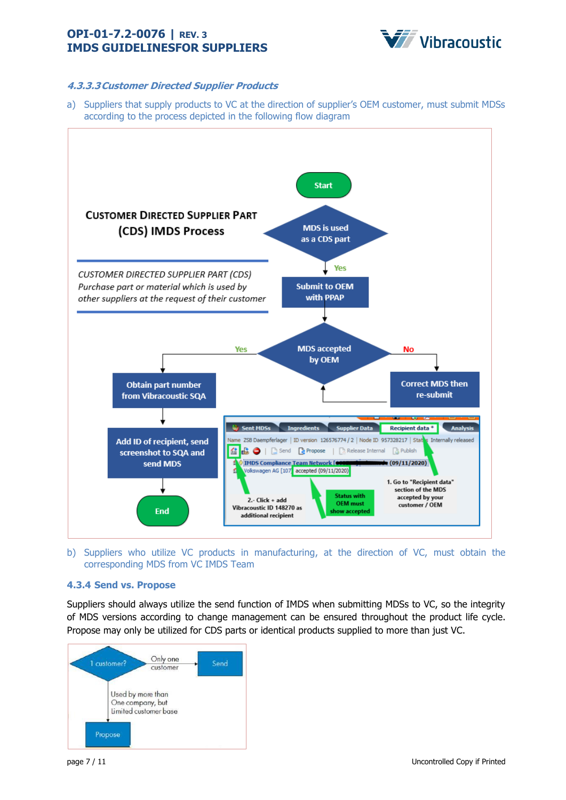

## **4.3.3.3Customer Directed Supplier Products**

a) Suppliers that supply products to VC at the direction of supplier's OEM customer, must submit MDSs according to the process depicted in the following flow diagram



b) Suppliers who utilize VC products in manufacturing, at the direction of VC, must obtain the corresponding MDS from VC IMDS Team

## <span id="page-6-0"></span>**4.3.4 Send vs. Propose**

Suppliers should always utilize the send function of IMDS when submitting MDSs to VC, so the integrity of MDS versions according to change management can be ensured throughout the product life cycle. Propose may only be utilized for CDS parts or identical products supplied to more than just VC.

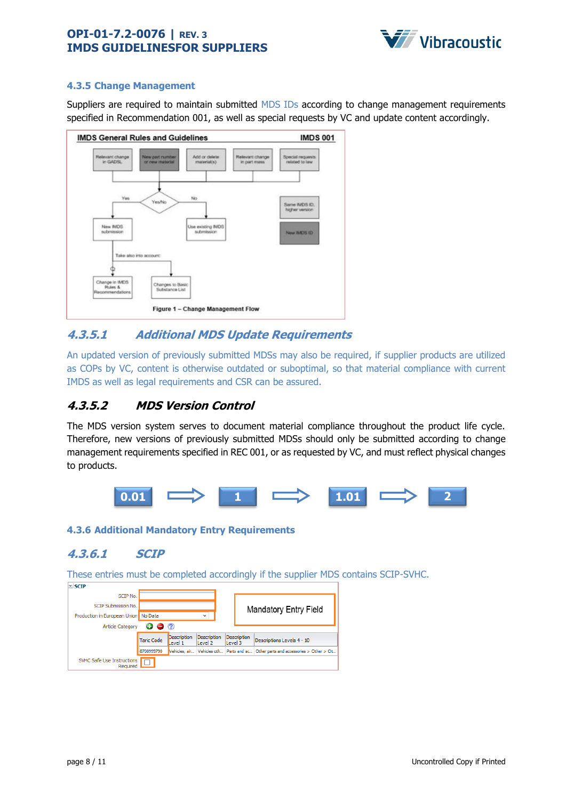

## <span id="page-7-0"></span>**4.3.5 Change Management**

Suppliers are required to maintain submitted MDS IDs according to change management requirements specified in Recommendation 001, as well as special requests by VC and update content accordingly.



# **4.3.5.1 Additional MDS Update Requirements**

An updated version of previously submitted MDSs may also be required, if supplier products are utilized as COPs by VC, content is otherwise outdated or suboptimal, so that material compliance with current IMDS as well as legal requirements and CSR can be assured.

# **4.3.5.2 MDS Version Control**

The MDS version system serves to document material compliance throughout the product life cycle. Therefore, new versions of previously submitted MDSs should only be submitted according to change management requirements specified in REC 001, or as requested by VC, and must reflect physical changes to products.



## <span id="page-7-1"></span>**4.3.6 Additional Mandatory Entry Requirements**

# **4.3.6.1 SCIP**

These entries must be completed accordingly if the supplier MDS contains SCIP-SVHC.

| $\vee$ SCIP                            |                   |                        |                        |         |             |                                                                                      |  |
|----------------------------------------|-------------------|------------------------|------------------------|---------|-------------|--------------------------------------------------------------------------------------|--|
| SCIP No.                               |                   |                        |                        |         |             |                                                                                      |  |
| SCIP Submission No.                    |                   |                        |                        |         |             | <b>Mandatory Entry Field</b>                                                         |  |
| Production in European Union No Data   |                   |                        | $\checkmark$           |         |             |                                                                                      |  |
| <b>Article Category</b>                | 000               |                        |                        |         |             |                                                                                      |  |
|                                        | <b>Taric Code</b> | Description<br>Level 1 | Description<br>Level 2 | Level 3 | Description | Descriptions Levels 4 - 10                                                           |  |
|                                        | 8708999790        |                        |                        |         |             | Vehicles, air Vehicles oth   Parts and ac   Other parts and accessories > Other > Ot |  |
| SVHC Safe Use Instructions<br>Required |                   |                        |                        |         |             |                                                                                      |  |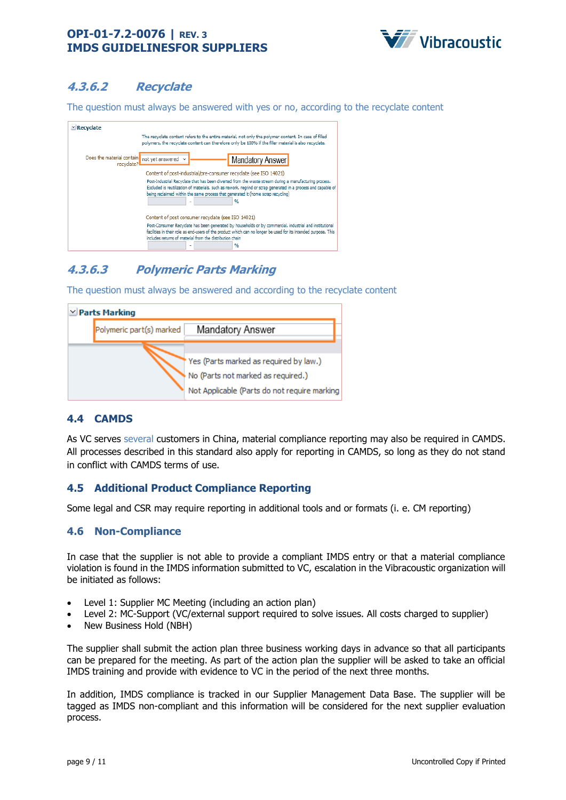

# **4.3.6.2 Recyclate**

The question must always be answered with yes or no, according to the recyclate content



# **4.3.6.3 Polymeric Parts Marking**

The question must always be answered and according to the recyclate content



## <span id="page-8-0"></span>**4.4 CAMDS**

As VC serves several customers in China, material compliance reporting may also be required in CAMDS. All processes described in this standard also apply for reporting in CAMDS, so long as they do not stand in conflict with CAMDS terms of use.

## <span id="page-8-1"></span>**4.5 Additional Product Compliance Reporting**

Some legal and CSR may require reporting in additional tools and or formats (i. e. CM reporting)

# <span id="page-8-2"></span>**4.6 Non-Compliance**

In case that the supplier is not able to provide a compliant IMDS entry or that a material compliance violation is found in the IMDS information submitted to VC, escalation in the Vibracoustic organization will be initiated as follows:

- Level 1: Supplier MC Meeting (including an action plan)
- Level 2: MC-Support (VC/external support required to solve issues. All costs charged to supplier)
- New Business Hold (NBH)

The supplier shall submit the action plan three business working days in advance so that all participants can be prepared for the meeting. As part of the action plan the supplier will be asked to take an official IMDS training and provide with evidence to VC in the period of the next three months.

In addition, IMDS compliance is tracked in our Supplier Management Data Base. The supplier will be tagged as IMDS non-compliant and this information will be considered for the next supplier evaluation process.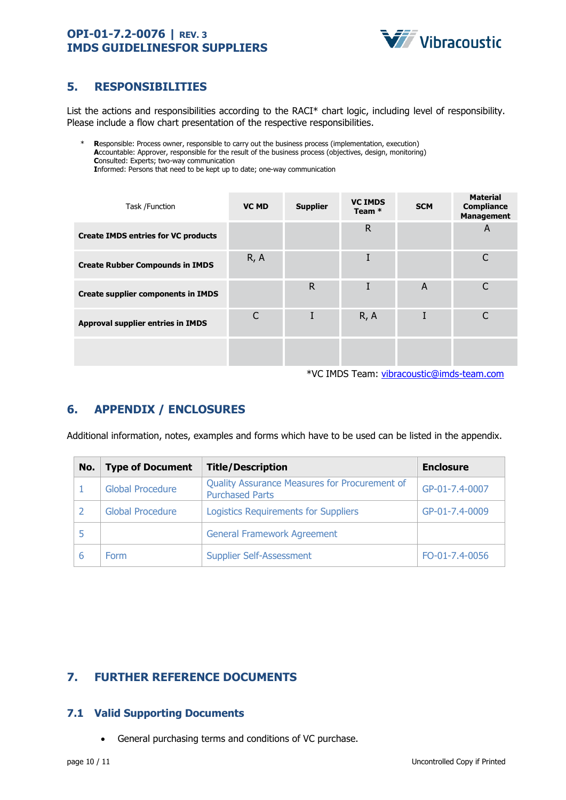

# <span id="page-9-0"></span>**5. RESPONSIBILITIES**

List the actions and responsibilities according to the RACI\* chart logic, including level of responsibility. Please include a flow chart presentation of the respective responsibilities.

\* **R**esponsible: Process owner, responsible to carry out the business process (implementation, execution) **A**ccountable: Approver, responsible for the result of the business process (objectives, design, monitoring) **C**onsulted: Experts; two-way communication **I**nformed: Persons that need to be kept up to date; one-way communication

| Task /Function                             | <b>VC MD</b> | <b>Supplier</b> | <b>VC IMDS</b><br>Team $*$ | <b>SCM</b> | <b>Material</b><br><b>Compliance</b><br><b>Management</b> |
|--------------------------------------------|--------------|-----------------|----------------------------|------------|-----------------------------------------------------------|
| <b>Create IMDS entries for VC products</b> |              |                 | $\mathsf{R}$               |            | A                                                         |
| <b>Create Rubber Compounds in IMDS</b>     | R, A         |                 |                            |            | C                                                         |
| <b>Create supplier components in IMDS</b>  |              | $\mathsf{R}$    |                            | A          | C                                                         |
| Approval supplier entries in IMDS          | C            |                 | R, A                       |            | C                                                         |
|                                            |              |                 |                            |            |                                                           |
|                                            |              |                 |                            | .          |                                                           |

\*VC IMDS Team: [vibracoustic@imds-team.com](mailto:vibracoustic@imds-team.com)

# <span id="page-9-1"></span>**6. APPENDIX / ENCLOSURES**

Additional information, notes, examples and forms which have to be used can be listed in the appendix.

| No. | <b>Type of Document</b> | <b>Title/Description</b>                                                | <b>Enclosure</b> |
|-----|-------------------------|-------------------------------------------------------------------------|------------------|
|     | <b>Global Procedure</b> | Quality Assurance Measures for Procurement of<br><b>Purchased Parts</b> | GP-01-7.4-0007   |
|     | <b>Global Procedure</b> | <b>Logistics Requirements for Suppliers</b>                             | GP-01-7.4-0009   |
|     |                         | <b>General Framework Agreement</b>                                      |                  |
|     | Form                    | <b>Supplier Self-Assessment</b>                                         | FO-01-7.4-0056   |

# <span id="page-9-2"></span>**7. FURTHER REFERENCE DOCUMENTS**

## <span id="page-9-3"></span>**7.1 Valid Supporting Documents**

• General purchasing terms and conditions of VC purchase.